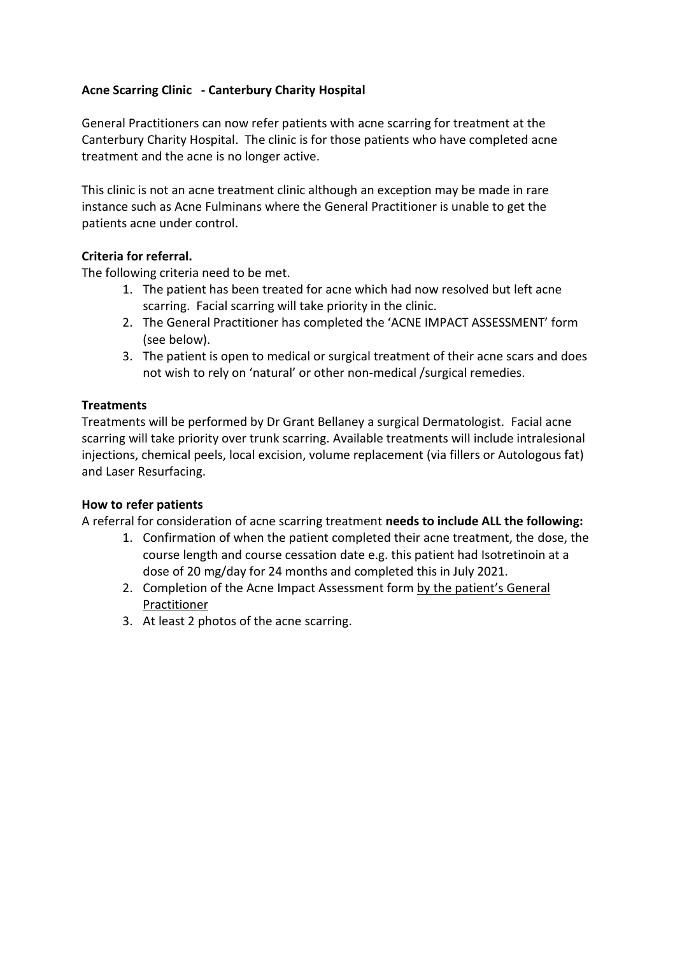## **Acne Scarring Clinic - Canterbury Charity Hospital**

General Practitioners can now refer patients with acne scarring for treatment at the Canterbury Charity Hospital. The clinic is for those patients who have completed acne treatment and the acne is no longer active.

This clinic is not an acne treatment clinic although an exception may be made in rare instance such as Acne Fulminans where the General Practitioner is unable to get the patients acne under control.

### **Criteria for referral.**

The following criteria need to be met.

- 1. The patient has been treated for acne which had now resolved but left acne scarring. Facial scarring will take priority in the clinic.
- 2. The General Practitioner has completed the 'ACNE IMPACT ASSESSMENT' form (see below).
- 3. The patient is open to medical or surgical treatment of their acne scars and does not wish to rely on 'natural' or other non-medical /surgical remedies.

#### **Treatments**

Treatments will be performed by Dr Grant Bellaney a surgical Dermatologist. Facial acne scarring will take priority over trunk scarring. Available treatments will include intralesional injections, chemical peels, local excision, volume replacement (via fillers or Autologous fat) and Laser Resurfacing.

#### **How to refer patients**

A referral for consideration of acne scarring treatment **needs to include ALL the following:**

- 1. Confirmation of when the patient completed their acne treatment, the dose, the course length and course cessation date e.g. this patient had Isotretinoin at a dose of 20 mg/day for 24 months and completed this in July 2021.
- 2. Completion of the Acne Impact Assessment form by the patient's General Practitioner
- 3. At least 2 photos of the acne scarring.